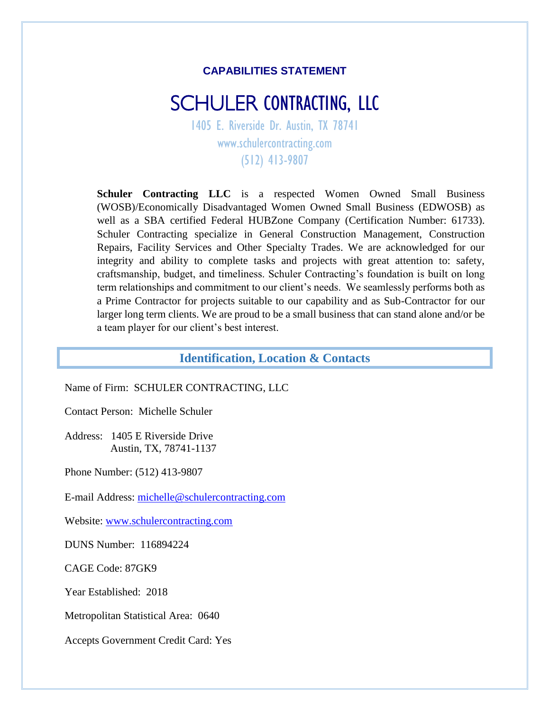#### **CAPABILITIES STATEMENT**

# SCHULER CONTRACTING, LLC

1405 E. Riverside Dr. Austin, TX 78741 www.schulercontracting.com (512) 413-9807

**Schuler Contracting LLC** is a respected Women Owned Small Business (WOSB)/Economically Disadvantaged Women Owned Small Business (EDWOSB) as well as a SBA certified Federal HUBZone Company (Certification Number: 61733). Schuler Contracting specialize in General Construction Management, Construction Repairs, Facility Services and Other Specialty Trades. We are acknowledged for our integrity and ability to complete tasks and projects with great attention to: safety, craftsmanship, budget, and timeliness. Schuler Contracting's foundation is built on long term relationships and commitment to our client's needs. We seamlessly performs both as a Prime Contractor for projects suitable to our capability and as Sub-Contractor for our larger long term clients. We are proud to be a small business that can stand alone and/or be a team player for our client's best interest.

#### **Identification, Location & Contacts**

Name of Firm: SCHULER CONTRACTING, LLC

Contact Person: Michelle Schuler

Address: 1405 E Riverside Drive Austin, TX, 78741-1137

Phone Number: (512) 413-9807

E-mail Address: [michelle@schulercontracting.com](mailto:michelle@schulercontracting.com)

Website: [www.schulercontracting.com](http://www.schulercontracting.com/)

DUNS Number: 116894224

CAGE Code: 87GK9

Year Established: 2018

Metropolitan Statistical Area: 0640

Accepts Government Credit Card: Yes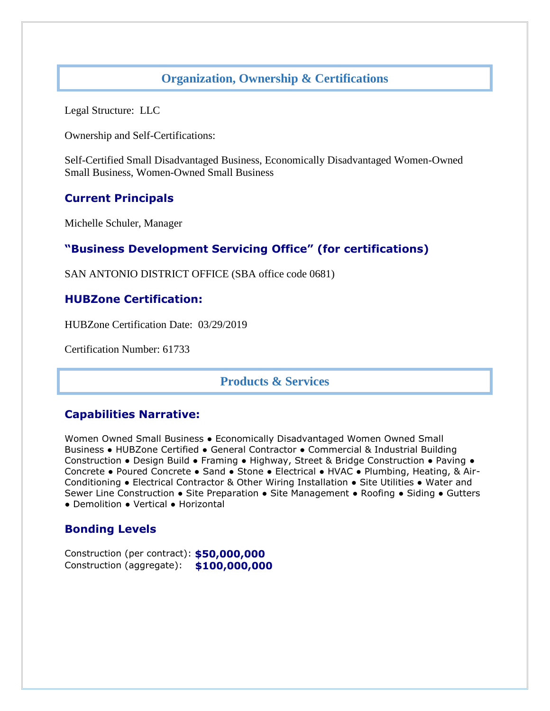### **Organization, Ownership & Certifications**

Legal Structure: LLC

Ownership and Self-Certifications:

Self-Certified Small Disadvantaged Business, Economically Disadvantaged Women-Owned Small Business, Women-Owned Small Business

#### **Current Principals**

Michelle Schuler, Manager

## **"Business Development Servicing Office" (for certifications)**

SAN ANTONIO DISTRICT OFFICE (SBA office code 0681)

#### **HUBZone Certification:**

HUBZone Certification Date: 03/29/2019

Certification Number: 61733

#### **Products & Services**

#### **Capabilities Narrative:**

Women Owned Small Business . Economically Disadvantaged Women Owned Small Business ● HUBZone Certified ● General Contractor ● Commercial & Industrial Building Construction ● Design Build ● Framing ● Highway, Street & Bridge Construction ● Paving ● Concrete ● Poured Concrete ● Sand ● Stone ● Electrical ● HVAC ● Plumbing, Heating, & Air-Conditioning ● Electrical Contractor & Other Wiring Installation ● Site Utilities ● Water and Sewer Line Construction ● Site Preparation ● Site Management ● Roofing ● Siding ● Gutters ● Demolition ● Vertical ● Horizontal

#### **Bonding Levels**

Construction (per contract): **\$50,000,000** Construction (aggregate): **\$100,000,000**